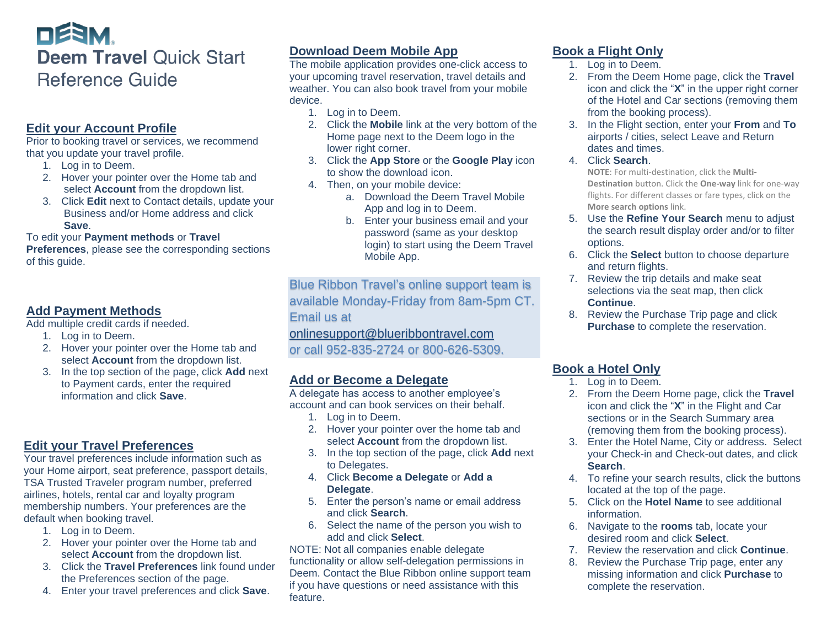# DESM. **Deem Travel Quick Start Reference Guide**

### **Edit your Account Profile**

Prior to booking travel or services, we recommend that you update your travel profile.

- 1. Log in to Deem.
- 2. Hover your pointer over the Home tab and select **Account** from the dropdown list.
- 3. Click **Edit** next to Contact details, update your Business and/or Home address and click **Save**.

#### To edit your **Payment methods** or **Travel**

**Preferences**, please see the corresponding sections of this guide.

### **Add Payment Methods**

Add multiple credit cards if needed.

- 1. Log in to Deem.
- 2. Hover your pointer over the Home tab and select **Account** from the dropdown list.
- 3. In the top section of the page, click **Add** next to Payment cards, enter the required information and click **Save**.

### **Edit your Travel Preferences**

Your travel preferences include information such as your Home airport, seat preference, passport details, TSA Trusted Traveler program number, preferred airlines, hotels, rental car and loyalty program membership numbers. Your preferences are the default when booking travel.

- 1. Log in to Deem.
- 2. Hover your pointer over the Home tab and select **Account** from the dropdown list.
- 3. Click the **Travel Preferences** link found under the Preferences section of the page.
- 4. Enter your travel preferences and click **Save**.

### **Download Deem Mobile App**

The mobile application provides one-click access to your upcoming travel reservation, travel details and weather. You can also book travel from your mobile device.

- 1. Log in to Deem.
- 2. Click the **Mobile** link at the very bottom of the Home page next to the Deem logo in the lower right corner.
- 3. Click the **App Store** or the **Google Play** icon to show the download icon.
- 4. Then, on your mobile device:
	- a. Download the Deem Travel Mobile App and log in to Deem.
	- b. Enter your business email and your password (same as your desktop login) to start using the Deem Travel Mobile App.

Blue Ribbon Travel's online support team is available Monday-Friday from 8am-5pm CT. Email us at

[onlinesupport@blueribbontravel.com](mailto:onlinesupport@blueribbontravel.com)

or call 952-835-2724 or 800-626-5309.

### **Add or Become a Delegate**

A delegate has access to another employee's account and can book services on their behalf.

- 1. Log in to Deem.
- 2. Hover your pointer over the home tab and select **Account** from the dropdown list.
- 3. In the top section of the page, click **Add** next to Delegates.
- 4. Click **Become a Delegate** or **Add a Delegate**.
- 5. Enter the person's name or email address and click **Search**.
- 6. Select the name of the person you wish to add and click **Select**.

NOTE: Not all companies enable delegate functionality or allow self-delegation permissions in Deem. Contact the Blue Ribbon online support team if you have questions or need assistance with this feature.

# **Book a Flight Only**

- 1. Log in to Deem.
- 2. From the Deem Home page, click the **Travel** icon and click the "**X**" in the upper right corner of the Hotel and Car sections (removing them from the booking process).
- 3. In the Flight section, enter your **From** and **To**  airports / cities, select Leave and Return dates and times.
- 4. Click **Search**.

**NOTE**: For multi-destination, click the **Multi-Destination** button. Click the **One-way** link for one-way flights. For different classes or fare types, click on the **More search options** link.

- 5. Use the **Refine Your Search** menu to adjust the search result display order and/or to filter options.
- 6. Click the **Select** button to choose departure and return flights.
- 7. Review the trip details and make seat selections via the seat map, then click **Continue**.
- 8. Review the Purchase Trip page and click **Purchase** to complete the reservation.

## **Book a Hotel Only**

- 1. Log in to Deem.
- 2. From the Deem Home page, click the **Travel** icon and click the "**X**" in the Flight and Car sections or in the Search Summary area (removing them from the booking process).
- 3. Enter the Hotel Name, City or address. Select your Check-in and Check-out dates, and click **Search**.
- 4. To refine your search results, click the buttons located at the top of the page.
- 5. Click on the **Hotel Name** to see additional information.
- 6. Navigate to the **rooms** tab, locate your desired room and click **Select**.
- 7. Review the reservation and click **Continue**.
- 8. Review the Purchase Trip page, enter any missing information and click **Purchase** to complete the reservation.